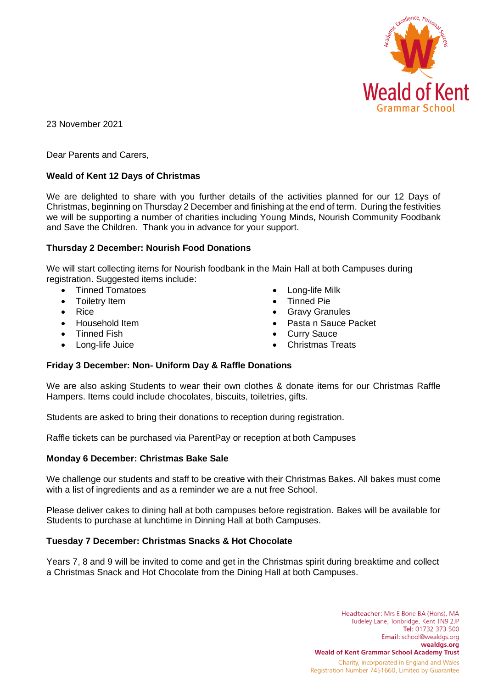

23 November 2021

Dear Parents and Carers,

# **Weald of Kent 12 Days of Christmas**

We are delighted to share with you further details of the activities planned for our 12 Days of Christmas, beginning on Thursday 2 December and finishing at the end of term. During the festivities we will be supporting a number of charities including Young Minds, Nourish Community Foodbank and Save the Children. Thank you in advance for your support.

### **Thursday 2 December: Nourish Food Donations**

We will start collecting items for Nourish foodbank in the Main Hall at both Campuses during registration. Suggested items include:

- Tinned Tomatoes
- Toiletry Item
- Rice
- Household Item
- Tinned Fish
- Long-life Juice
- Long-life Milk
- Tinned Pie
- Gravy Granules
- Pasta n Sauce Packet
- **Curry Sauce**
- Christmas Treats

# **Friday 3 December: Non- Uniform Day & Raffle Donations**

We are also asking Students to wear their own clothes & donate items for our Christmas Raffle Hampers. Items could include chocolates, biscuits, toiletries, gifts.

Students are asked to bring their donations to reception during registration.

Raffle tickets can be purchased via ParentPay or reception at both Campuses

#### **Monday 6 December: Christmas Bake Sale**

We challenge our students and staff to be creative with their Christmas Bakes. All bakes must come with a list of ingredients and as a reminder we are a nut free School.

Please deliver cakes to dining hall at both campuses before registration. Bakes will be available for Students to purchase at lunchtime in Dinning Hall at both Campuses.

# **Tuesday 7 December: Christmas Snacks & Hot Chocolate**

Years 7, 8 and 9 will be invited to come and get in the Christmas spirit during breaktime and collect a Christmas Snack and Hot Chocolate from the Dining Hall at both Campuses.

> Headteacher: Mrs E Bone BA (Hons), MA Tudeley Lane, Tonbridge, Kent TN9 2JP Tel: 01732 373 500 Email: school@wealdgs.org wealdgs.org **Weald of Kent Grammar School Academy Trust** Charity, incorporated in England and Wales Registration Number 7451660, Limited by Guarantee